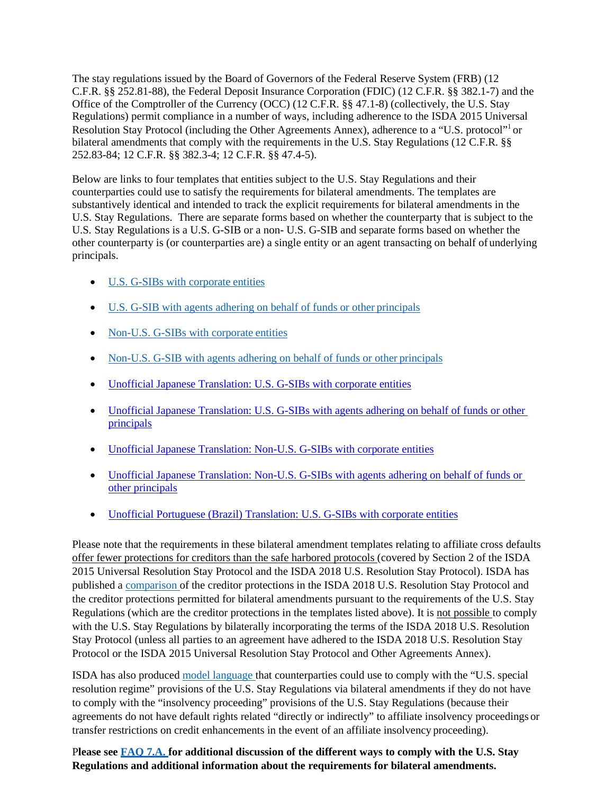The stay regulations issued by the Board of Governors of the Federal Reserve System (FRB) (12 C.F.R. §§ 252.81-88), the Federal Deposit Insurance Corporation (FDIC) (12 C.F.R. §§ 382.1-7) and the Office of the Comptroller of the Currency (OCC) (12 C.F.R. §§ 47.1-8) (collectively, the U.S. Stay Regulations) permit compliance in a number of ways, including adherence to the ISDA 2015 Universal Resolution Stay Protocol (including the Other Agreements Annex), adherence to a "U.S. protocol"<sup>1</sup> or bilateral amendments that comply with the requirements in the U.S. Stay Regulations (12 C.F.R. §§ 252.83-84; 12 C.F.R. §§ 382.3-4; 12 C.F.R. §§ 47.4-5).

Below are links to four templates that entities subject to the U.S. Stay Regulations and their counterparties could use to satisfy the requirements for bilateral amendments. The templates are substantively identical and intended to track the explicit requirements for bilateral amendments in the U.S. Stay Regulations. There are separate forms based on whether the counterparty that is subject to the U.S. Stay Regulations is a U.S. G-SIB or a non- U.S. G-SIB and separate forms based on whether the other counterparty is (or counterparties are) a single entity or an agent transacting on behalf of underlying principals.

- [U.S. G-SIBs with corporate](https://www.isda.org/a/hrCEE/US-GSIB-Corporate-Bilateral-Amendment.docx) entities
- [U.S. G-SIB with agents adhering on behalf of funds or other](https://www.isda.org/a/lrCEE/US-GSIB-Agency-Bilateral-Amendment.docx) principals
- [Non-U.S. G-SIBs with corporate](https://www.isda.org/a/srCEE/Non-US-GSIB-Corporate-Bilateral-Amendment.docx) entities
- [Non-U.S. G-SIB with agents adhering on behalf of funds or other](https://www.isda.org/a/qrCEE/Non-US-GSIB-Agency-Bilateral-Amendment.docx) principals
- [Unofficial Japanese Translation: U.S. G-SIBs with corporate entities](https://www.isda.org/a/tViME/Unofficial-Japanese-Translation_US-GSIB-Corporate-Bilateral-Amendment.docx)
- Unofficial Japanese Translation: U.S. G-SIBs with agents adhering on behalf of funds or other [principals](https://www.isda.org/a/SViME/Unoffical-Japanese-Translation_US-GSIB-Agency-Bilateral-Amendment.docx)
- [Unofficial Japanese Translation: Non-U.S. G-SIBs with corporate entities](https://www.isda.org/a/UViME/Unofficial-Japanese-Translation_Non-US-GSIB-Corporate-Bilateral-Amendmen.docx)
- Unofficial Japanese Translation: Non-U.S. G-SIBs with agents adhering on behalf of funds or [other principals](https://www.isda.org/a/nViME/Unofficial-Japanese-Translation_Non-US-GSIB-Agency-Bilateral-Amendment.docx)
- [Unofficial Portuguese \(Brazil\) Translation:](https://www.isda.org/a/dpoTE/Unofficial-Portuguese-Translation-US-GSIB-Bilateral-Amendment.docx) U.S. G-SIBs with corporate entities

Please note that the requirements in these bilateral amendment templates relating to affiliate cross defaults offer fewer protections for creditors than the safe harbored protocols (covered by Section 2 of the ISDA 2015 Universal Resolution Stay Protocol and the ISDA 2018 U.S. Resolution Stay Protocol). ISDA has published a [comparison o](https://www.isda.org/a/EZjEE/Comparison-of-Creditor-Protections-ISDA-2018-U.S.-Resolution-Stay-Protocol-versus-Bilateral-Agreement.pdf)f the creditor protections in the ISDA 2018 U.S. Resolution Stay Protocol and the creditor protections permitted for bilateral amendments pursuant to the requirements of the U.S. Stay Regulations (which are the creditor protections in the templates listed above). It is not possible to comply with the U.S. Stay Regulations by bilaterally incorporating the terms of the ISDA 2018 U.S. Resolution Stay Protocol (unless all parties to an agreement have adhered to the ISDA 2018 U.S. Resolution Stay Protocol or the ISDA 2015 Universal Resolution Stay Protocol and Other Agreements Annex).

ISDA has also produced [model language t](https://www.isda.org/a/hqREE/Part-I-Language.pdf)hat counterparties could use to comply with the "U.S. special resolution regime" provisions of the U.S. Stay Regulations via bilateral amendments if they do not have to comply with the "insolvency proceeding" provisions of the U.S. Stay Regulations (because their agreements do not have default rights related "directly or indirectly" to affiliate insolvency proceedings or transfer restrictions on credit enhancements in the event of an affiliate insolvency proceeding).

P**lease see [FAQ 7.A. f](https://www.isda.org/a/8FjEE/ISDA-2018-U.S.-Protocol-FAQs-Final.pdf)or additional discussion of the different ways to comply with the U.S. Stay Regulations and additional information about the requirements for bilateral amendments.**